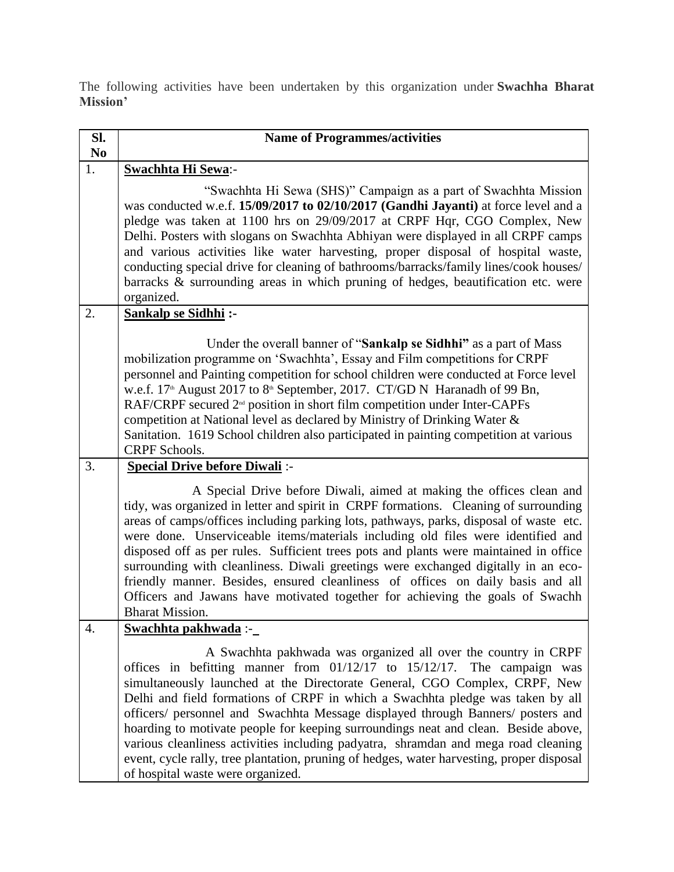The following activities have been undertaken by this organization under **Swachha Bharat Mission'**

| Sl.<br>N <sub>0</sub> | <b>Name of Programmes/activities</b>                                                                                                                                                                                                                                                                                                                                                                                                                                                                                                                                                                                                                                                                                    |
|-----------------------|-------------------------------------------------------------------------------------------------------------------------------------------------------------------------------------------------------------------------------------------------------------------------------------------------------------------------------------------------------------------------------------------------------------------------------------------------------------------------------------------------------------------------------------------------------------------------------------------------------------------------------------------------------------------------------------------------------------------------|
| 1.                    | <b>Swachhta Hi Sewa:-</b>                                                                                                                                                                                                                                                                                                                                                                                                                                                                                                                                                                                                                                                                                               |
|                       | "Swachhta Hi Sewa (SHS)" Campaign as a part of Swachhta Mission<br>was conducted w.e.f. 15/09/2017 to 02/10/2017 (Gandhi Jayanti) at force level and a<br>pledge was taken at 1100 hrs on 29/09/2017 at CRPF Hqr, CGO Complex, New<br>Delhi. Posters with slogans on Swachhta Abhiyan were displayed in all CRPF camps<br>and various activities like water harvesting, proper disposal of hospital waste,<br>conducting special drive for cleaning of bathrooms/barracks/family lines/cook houses/<br>barracks & surrounding areas in which pruning of hedges, beautification etc. were<br>organized.                                                                                                                  |
| 2.                    | <b>Sankalp se Sidhhi:-</b>                                                                                                                                                                                                                                                                                                                                                                                                                                                                                                                                                                                                                                                                                              |
|                       | Under the overall banner of "Sankalp se Sidhhi" as a part of Mass<br>mobilization programme on 'Swachhta', Essay and Film competitions for CRPF<br>personnel and Painting competition for school children were conducted at Force level<br>w.e.f. 17 <sup>th</sup> August 2017 to 8 <sup>th</sup> September, 2017. CT/GD N Haranadh of 99 Bn,<br>RAF/CRPF secured 2 <sup>nd</sup> position in short film competition under Inter-CAPFs<br>competition at National level as declared by Ministry of Drinking Water &<br>Sanitation. 1619 School children also participated in painting competition at various<br><b>CRPF</b> Schools.                                                                                    |
| 3.                    | <b>Special Drive before Diwali:-</b>                                                                                                                                                                                                                                                                                                                                                                                                                                                                                                                                                                                                                                                                                    |
|                       | A Special Drive before Diwali, aimed at making the offices clean and<br>tidy, was organized in letter and spirit in CRPF formations. Cleaning of surrounding<br>areas of camps/offices including parking lots, pathways, parks, disposal of waste etc.<br>were done. Unserviceable items/materials including old files were identified and<br>disposed off as per rules. Sufficient trees pots and plants were maintained in office<br>surrounding with cleanliness. Diwali greetings were exchanged digitally in an eco-<br>friendly manner. Besides, ensured cleanliness of offices on daily basis and all<br>Officers and Jawans have motivated together for achieving the goals of Swachh<br><b>Bharat Mission.</b> |
| 4.                    | Swachhta pakhwada :-                                                                                                                                                                                                                                                                                                                                                                                                                                                                                                                                                                                                                                                                                                    |
|                       | A Swachhta pakhwada was organized all over the country in CRPF<br>offices in befitting manner from $01/12/17$ to $15/12/17$ .<br>The campaign was<br>simultaneously launched at the Directorate General, CGO Complex, CRPF, New<br>Delhi and field formations of CRPF in which a Swachhta pledge was taken by all<br>officers/ personnel and Swachhta Message displayed through Banners/ posters and<br>hoarding to motivate people for keeping surroundings neat and clean. Beside above,<br>various cleanliness activities including padyatra, shramdan and mega road cleaning<br>event, cycle rally, tree plantation, pruning of hedges, water harvesting, proper disposal<br>of hospital waste were organized.      |